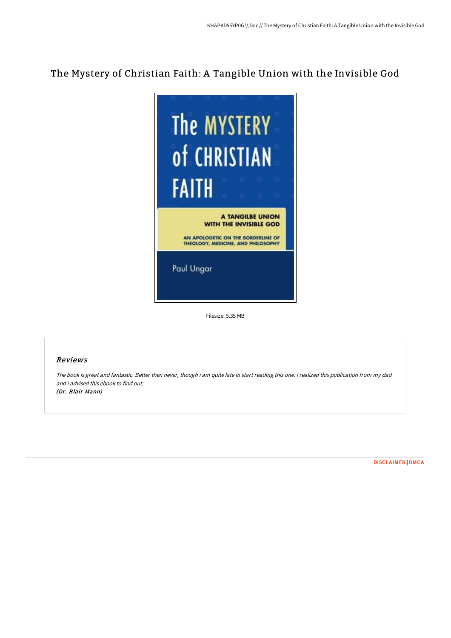## The Mystery of Christian Faith: A Tangible Union with the Invisible God



Filesize: 5.35 MB

## Reviews

The book is great and fantastic. Better then never, though i am quite late in start reading this one. <sup>I</sup> realized this publication from my dad and i advised this ebook to find out. (Dr. Blair Mann)

[DISCLAIMER](http://albedo.media/disclaimer.html) | [DMCA](http://albedo.media/dmca.html)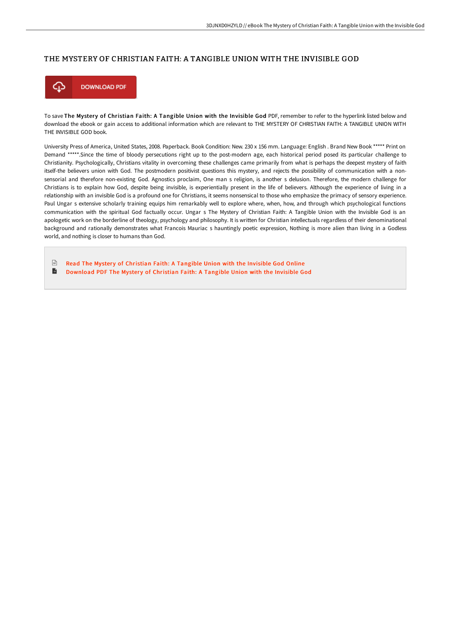## THE MYSTERY OF CHRISTIAN FAITH: A TANGIBLE UNION WITH THE INVISIBLE GOD



To save The Mystery of Christian Faith: A Tangible Union with the Invisible God PDF, remember to refer to the hyperlink listed below and download the ebook or gain access to additional information which are relevant to THE MYSTERY OF CHRISTIAN FAITH: A TANGIBLE UNION WITH THE INVISIBLE GOD book.

University Press of America, United States, 2008. Paperback. Book Condition: New. 230 x 156 mm. Language: English . Brand New Book \*\*\*\*\* Print on Demand \*\*\*\*\*.Since the time of bloody persecutions right up to the post-modern age, each historical period posed its particular challenge to Christianity. Psychologically, Christians vitality in overcoming these challenges came primarily from what is perhaps the deepest mystery of faith itself-the believers union with God. The postmodern positivist questions this mystery, and rejects the possibility of communication with a nonsensorial and therefore non-existing God. Agnostics proclaim, One man s religion, is another s delusion. Therefore, the modern challenge for Christians is to explain how God, despite being invisible, is experientially present in the life of believers. Although the experience of living in a relationship with an invisible God is a profound one for Christians, it seems nonsensical to those who emphasize the primacy of sensory experience. Paul Ungar s extensive scholarly training equips him remarkably well to explore where, when, how, and through which psychological functions communication with the spiritual God factually occur. Ungar s The Mystery of Christian Faith: A Tangible Union with the Invisible God is an apologetic work on the borderline of theology, psychology and philosophy. It is written for Christian intellectuals regardless of their denominational background and rationally demonstrates what Francois Mauriac s hauntingly poetic expression, Nothing is more alien than living in a Godless world, and nothing is closer to humans than God.

 $\boxed{\text{ref}}$ Read The Mystery of [Christian](http://albedo.media/the-mystery-of-christian-faith-a-tangible-union-.html) Faith: A Tangible Union with the Invisible God Online  $\blacktriangleright$ [Download](http://albedo.media/the-mystery-of-christian-faith-a-tangible-union-.html) PDF The Mystery of Christian Faith: A Tangible Union with the Invisible God